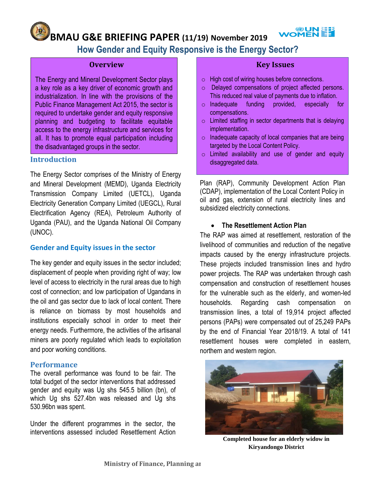## **WOMENEE BMAU G&E BRIEFING PAPER (11/19) November 2019**

# **How Gender and Equity Responsive is the Energy Sector?**

#### **Overview**

The Energy and Mineral Development Sector plays a key role as a key driver of economic growth and industrialization. In line with the provisions of the Public Finance Management Act 2015, the sector is required to undertake gender and equity responsive planning and budgeting to facilitate equitable access to the energy infrastructure and services for all. It has to promote equal participation including the disadvantaged groups in the sector.

#### **Introduction**

The Energy Sector comprises of the Ministry of Energy and Mineral Development (MEMD), Uganda Electricity Transmission Company Limited (UETCL), Uganda Electricity Generation Company Limited (UEGCL), Rural Electrification Agency (REA), Petroleum Authority of Uganda (PAU), and the Uganda National Oil Company (UNOC).

## **Gender and Equity issues in the sector**

The key gender and equity issues in the sector included; displacement of people when providing right of way; low level of access to electricity in the rural areas due to high cost of connection; and low participation of Ugandans in the oil and gas sector due to lack of local content. There is reliance on biomass by most households and institutions especially school in order to meet their energy needs. Furthermore, the activities of the artisanal miners are poorly regulated which leads to exploitation and poor working conditions.

## **Performance**

The overall performance was found to be fair. The total budget of the sector interventions that addressed gender and equity was Ug shs 545.5 billion (bn), of which Ug shs 527.4bn was released and Ug shs 530.96bn was spent.

Under the different programmes in the sector, the interventions assessed included Resettlement Action

## **Key Issues**

- o High cost of wiring houses before connections.
- o Delayed compensations of project affected persons. This reduced real value of payments due to inflation.
- o Inadequate funding provided, especially for compensations.
- $\circ$  Limited staffing in sector departments that is delaying implementation.
- $\circ$  Inadequate capacity of local companies that are being targeted by the Local Content Policy.
- o Limited availability and use of gender and equity disaggregated data.

Plan (RAP), Community Development Action Plan (CDAP), implementation of the Local Content Policy in oil and gas, extension of rural electricity lines and subsidized electricity connections.

#### **The Resettlement Action Plan**

The RAP was aimed at resettlement, restoration of the livelihood of communities and reduction of the negative impacts caused by the energy infrastructure projects. These projects included transmission lines and hydro power projects. The RAP was undertaken through cash compensation and construction of resettlement houses for the vulnerable such as the elderly, and women-led households. Regarding cash compensation on transmission lines, a total of 19,914 project affected persons (PAPs) were compensated out of 25,249 PAPs by the end of Financial Year 2018/19. A total of 141 resettlement houses were completed in eastern, northern and western region.



**Completed house for an elderly widow in Kiryandongo District**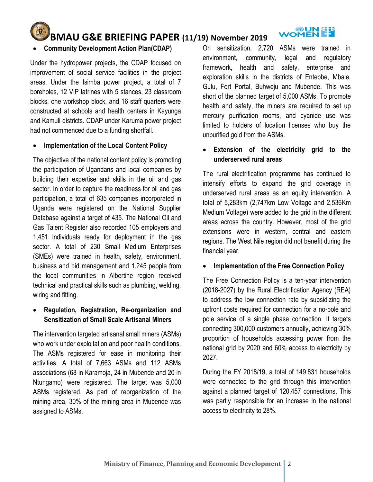

# **BMAU G&E BRIEFING PAPER (11/19) November 2019**

## **Community Development Action Plan(CDAP)**

Under the hydropower projects, the CDAP focused on improvement of social service facilities in the project areas. Under the Isimba power project, a total of 7 boreholes, 12 VIP latrines with 5 stances, 23 classroom blocks, one workshop block, and 16 staff quarters were constructed at schools and health centers in Kayunga and Kamuli districts. CDAP under Karuma power project had not commenced due to a funding shortfall.

## **Implementation of the Local Content Policy**

The objective of the national content policy is promoting the participation of Ugandans and local companies by building their expertise and skills in the oil and gas sector. In order to capture the readiness for oil and gas participation, a total of 635 companies incorporated in Uganda were registered on the National Supplier Database against a target of 435. The National Oil and Gas Talent Register also recorded 105 employers and 1,451 individuals ready for deployment in the gas sector. A total of 230 Small Medium Enterprises (SMEs) were trained in health, safety, environment, business and bid management and 1,245 people from the local communities in Albertine region received technical and practical skills such as plumbing, welding, wiring and fitting.

## **Regulation, Registration, Re-organization and Sensitization of Small Scale Artisanal Miners**

The intervention targeted artisanal small miners (ASMs) who work under exploitation and poor health conditions. The ASMs registered for ease in monitoring their activities. A total of 7,663 ASMs and 112 ASMs associations (68 in Karamoja, 24 in Mubende and 20 in Ntungamo) were registered. The target was 5,000 ASMs registered. As part of reorganization of the mining area, 30% of the mining area in Mubende was assigned to ASMs.

On sensitization, 2,720 ASMs were trained in environment, community, legal and regulatory framework, health and safety, enterprise and exploration skills in the districts of Entebbe, Mbale, Gulu, Fort Portal, Buhweju and Mubende. This was short of the planned target of 5,000 ASMs. To promote health and safety, the miners are required to set up mercury purification rooms, and cyanide use was limited to holders of location licenses who buy the unpurified gold from the ASMs.

# **Extension of the electricity grid to the underserved rural areas**

The rural electrification programme has continued to intensify efforts to expand the grid coverage in underserved rural areas as an equity intervention. A total of 5,283km (2,747km Low Voltage and 2,536Km Medium Voltage) were added to the grid in the different areas across the country. However, most of the grid extensions were in western, central and eastern regions. The West Nile region did not benefit during the financial year.

## **Implementation of the Free Connection Policy**

The Free Connection Policy is a ten-year intervention (2018-2027) by the Rural Electrification Agency (REA) to address the low connection rate by subsidizing the upfront costs required for connection for a no-pole and pole service of a single phase connection. It targets connecting 300,000 customers annually, achieving 30% proportion of households accessing power from the national grid by 2020 and 60% access to electricity by 2027.

During the FY 2018/19, a total of 149,831 households were connected to the grid through this intervention against a planned target of 120,457 connections. This was partly responsible for an increase in the national access to electricity to 28%.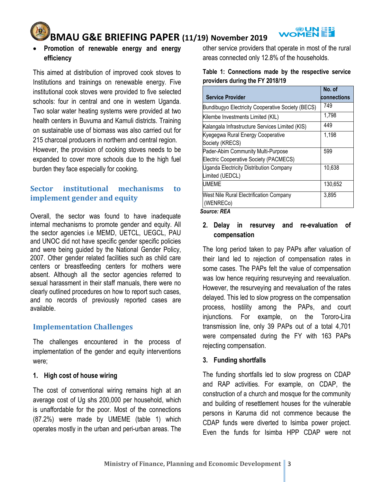

# **BMAU G&E BRIEFING PAPER (11/19) November 2019**

## **Promotion of renewable energy and energy efficiency**

This aimed at distribution of improved cook stoves to Institutions and trainings on renewable energy. Five institutional cook stoves were provided to five selected schools: four in central and one in western Uganda. Two solar water heating systems were provided at two health centers in Buvuma and Kamuli districts. Training on sustainable use of biomass was also carried out for 215 charcoal producers in northern and central region.

However, the provision of cooking stoves needs to be expanded to cover more schools due to the high fuel burden they face especially for cooking.

# **Sector institutional mechanisms to implement gender and equity**

Overall, the sector was found to have inadequate internal mechanisms to promote gender and equity. All the sector agencies i.e MEMD, UETCL, UEGCL, PAU and UNOC did not have specific gender specific policies and were being guided by the National Gender Policy, 2007. Other gender related facilities such as child care centers or breastfeeding centers for mothers were absent. Although all the sector agencies referred to sexual harassment in their staff manuals, there were no clearly outlined procedures on how to report such cases, and no records of previously reported cases are available.

# **Implementation Challenges**

The challenges encountered in the process of implementation of the gender and equity interventions were;

## **1. High cost of house wiring**

The cost of conventional wiring remains high at an average cost of Ug shs 200,000 per household, which is unaffordable for the poor. Most of the connections (87.2%) were made by UMEME (table 1) which operates mostly in the urban and peri-urban areas. The

other service providers that operate in most of the rural areas connected only 12.8% of the households.

#### **Table 1: Connections made by the respective service providers during the FY 2018/19**

| <b>Service Provider</b>                           | No. of<br>connections |
|---------------------------------------------------|-----------------------|
| Bundibugyo Electricity Cooperative Society (BECS) | 749                   |
| Kilembe Investments Limited (KIL)                 | 1,798                 |
| Kalangala Infrastructure Services Limited (KIS)   | 449                   |
| Kyegegwa Rural Energy Cooperative                 | 1,198                 |
| Society (KRECS)                                   |                       |
| Pader-Abim Community Multi-Purpose                | 599                   |
| Electric Cooperative Society (PACMECS)            |                       |
| Uganda Electricity Distribution Company           | 10,638                |
| Limited (UEDCL)                                   |                       |
| <b>UMEME</b>                                      | 130,652               |
| <b>West Nile Rural Electrification Company</b>    | 3,895                 |
| (WENRECo)                                         |                       |
|                                                   |                       |

*Source: REA*

# **2. Delay in resurvey and re-evaluation of compensation**

The long period taken to pay PAPs after valuation of their land led to rejection of compensation rates in some cases. The PAPs felt the value of compensation was low hence requiring resurveying and reevaluation. However, the resurveying and reevaluation of the rates delayed. This led to slow progress on the compensation process, hostility among the PAPs, and court injunctions. For example, on the Tororo-Lira transmission line, only 39 PAPs out of a total 4,701 were compensated during the FY with 163 PAPs rejecting compensation.

## **3. Funding shortfalls**

The funding shortfalls led to slow progress on CDAP and RAP activities. For example, on CDAP, the construction of a church and mosque for the community and building of resettlement houses for the vulnerable persons in Karuma did not commence because the CDAP funds were diverted to Isimba power project. Even the funds for Isimba HPP CDAP were not